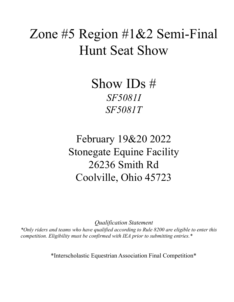# Zone #5 Region #1&2 Semi-Final Hunt Seat Show

Show IDs # *SF5081I SF5081T*

February 19&20 2022 Stonegate Equine Facility 26236 Smith Rd Coolville, Ohio 45723

*Qualification Statement \*Only riders and teams who have qualified according to Rule 8200 are eligible to enter this competition. Eligibility must be confirmed with IEA prior to submitting entries.\**

\*Interscholastic Equestrian Association Final Competition\*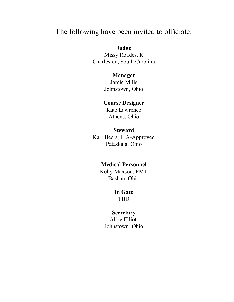# The following have been invited to officiate:

# **Judge**

Missy Roades, R Charleston, South Carolina

# **Manager**

Jamie Mills Johnstown, Ohio

# **Course Designer**

Kate Lawrence Athens, Ohio

# **Steward**

Kari Beers, IEA-Approved Pataskala, Ohio

# **Medical Personnel**

Kelly Maxson, EMT Bashan, Ohio

# **In Gate**

TBD

# **Secretary**

Abby Elliott Johnstown, Ohio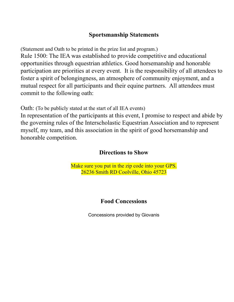# **Sportsmanship Statements**

(Statement and Oath to be printed in the prize list and program.) Rule 1500: The IEA was established to provide competitive and educational opportunities through equestrian athletics. Good horsemanship and honorable participation are priorities at every event. It is the responsibility of all attendees to foster a spirit of belongingness, an atmosphere of community enjoyment, and a mutual respect for all participants and their equine partners. All attendees must commit to the following oath:

Oath: (To be publicly stated at the start of all IEA events)

In representation of the participants at this event, I promise to respect and abide by the governing rules of the Interscholastic Equestrian Association and to represent myself, my team, and this association in the spirit of good horsemanship and honorable competition.

# **Directions to Show**

Make sure you put in the zip code into your GPS. 26236 Smith RD Coolville, Ohio 45723

# **Food Concessions**

Concessions provided by Giovanis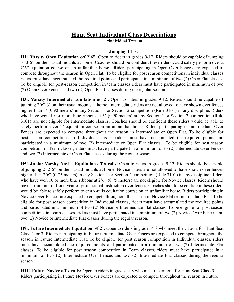# **Hunt Seat Individual Class Descriptions i=individual T=team**

## **Jumping Class**

**H1i. Varsity Open Equitation o/f 2'6":** Open to riders in grades 9-12. Riders should be capable of jumping 3'-3'6" on their usual mounts at home. Coaches should be confident these riders could safely perform over a 2'6" equitation course on an unfamiliar horse. Riders participating in Open Over Fences are expected to compete throughout the season in Open Flat. To be eligible for post season competitions in individual classes riders must have accumulated the required points and participated in a minimum of two (2) Open Flat classes. To be eligible for post-season competition in team classes riders must have participated in minimum of two (2) Open Over Fences and two (2) Open Flat Classes during the regular season.

**H3i. Varsity Intermediate Equitation o/f 2':** Open to riders in grades 9-12. Riders should be capable of jumping 2'6"-3' on their usual mounts at home. Intermediate riders are not allowed to have shown over fences higher than 3' (0.90 meters) in any Section 1 or Section 2 competition (Rule 3101) in any discipline. Riders who have won 10 or more blue ribbons at 3' (0.90 meters) at any Section 1 or Section 2 competition (Rule 3101) are not eligible for Intermediate classes. Coaches should be confident these riders would be able to safely perform over 2' equitation course on an unfamiliar horse. Riders participating in Intermediate Over Fences are expected to compete throughout the season in Intermediate or Open Flat. To be eligible for post-season competitions in Individual classes riders must have accumulated the required points and participated in a minimum of two (2) Intermediate or Open Flat classes. To be eligible for post season competition in Team classes, riders must have participated in a minimum of to (2) Intermediate Over Fences and two (2) Intermediate or Open Flat classes during the regular season.

**H5i. Junior Varsity Novice Equitation o/f x-rails:** Open to riders in grades 9-12. Riders should be capable of jumping 2'-2'6" on their usual mounts at home. Novice riders are not allowed to have shown over fences higher than 2'6" (0.75 meters) in any Section 1 or Section 2 competition (Rule 3101) in any discipline. Riders who have won 10 or more blue ribbons at 2'6" (0.75 meters) are not eligible for Novice classes. Riders should have a minimum of one-year of professional instruction over fences. Coaches should be confident these riders would be able to safely perform over a x-rails equitation course on an unfamiliar horse. Riders participating in Novice Over Fences are expected to compete throughout the season in Novice Flat or Intermediate Flat. To be eligible for post season competition in Individual classes, riders must have accumulated the required points and participated in a minimum of two (2) Novice or Intermediate Flat classes. To be eligible for post season competitions in Team classes, riders must have participated in a minimum of two (2) Novice Over Fences and two (2) Novice or Intermediate Flat classes during the regular season.

**H9i. Future Intermediate Equitation o/f 2':** Open to riders in grades 4-8 who meet the criteria for Hunt Seat Class 1 or 3. Riders participating in Future Intermediate Over Fences are expected to compete throughout the season in Future Intermediate Flat. To be eligible for post season competition in Individual classes, riders must have accumulated the required points and participated in a minimum of two (2) Intermediate Flat classes. To be eligible for post season competition in Team classes, riders must have participated in a minimum of two (2) Intermediate Over Fences and two (2) Intermediate Flat classes during the regular season.

**H11i. Future Novice o/f x-rails:** Open to riders in grades 4-8 who meet the criteria for Hunt Seat Class 5. Riders participating in Future Novice Over Fences are expected to compete throughout the season in Future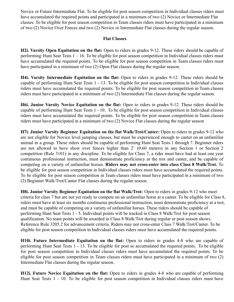Novice or Future Intermediate Flat. To be eligible for post season competition in Individual classes riders must have accumulated the required points and participated in a minimum of two (2) Novice or Intermediate Flat classes. To be eligible for post season competition in Team classes riders must have participated in a minimum of two (2) Novice Over Fences and two (2) Novice or Intermediate Flat classes during the regular season.

# **Flat Classes**

**H2i. Varsity Open Equitation on the flat:** Open to riders in grades 9-12. These riders should be capable of performing Hunt Seat Tests 1 – 16. To be eligible for post season competition in Individual classes riders must have accumulated the required points. To be eligible for post season competition in Team classes riders must have participated in a minimum of two (2) Open Flat classes during the regular season.

**H4i. Varsity Intermediate Equitation on the flat:** Open to riders in grades 9-12. These riders should be capable of performing Hunt Seat Tests 1 - 13. To be eligible for post season competition in Individual classes riders must have accumulated the required points. To be eligible for post season competition in Team classes riders must have participated in a minimum of two (2) Intermediate Flat classes during the regular season.

**H6i. Junior Varsity Novice Equitation on the flat:** Open to riders in grades 9-12. These riders should be capable of performing Hunt Seat Tests 1 - 10. To be eligible for post season competition in Individual classes riders must have accumulated the required points. To be eligible for post season competition in Team classes riders must have participated in a minimum of two (2) Novice Flat classes during the regular season

**H7i. Junior Varsity Beginner Equitation on the flat Walk/Trot/Canter:** Open to riders in grades 9-12 who are not eligible for Novice level jumping classes, but must be experienced enough to canter on an unfamiliar animal in a group. These riders should be capable of performing Hunt Seat Tests 1 through 7. Beginner riders are not allowed to have show over fences higher than 2' (0.60 meters) in any Section 1 or Section 2 competition (Rule 3101) in any discipline. To be eligible for Class 7, a rider must have had at least one year continuous professional instruction, must demonstrate proficiency at the trot and canter, and be capable of competing on a variety of unfamiliar horses. **Riders may not cross-enter into class Class 8 Walk/Trot.** To be eligible for post season competition in Individual classes riders must have accumulated the required points. To be eligible for post season competition in Team classes riders must have participated in a minimum of two (2) Beginner Walk/Trot/Canter Flat classes during the regular season.

**H8i. Junior Varsity Beginner Equitation on the flat Walk/Trot:** Open to riders in grades 9-12 who meet criteria for class 7 but are not yet ready to compete on an unfamiliar horse at a canter. To be eligible for Class 8, riders must have at least six months continuous professional instruction, must demonstrate proficiency at a trot, and must be capable of competing on a variety of unfamiliar horses. These riders should be capable of performing Hunt Seat Tests 1 - 5. Individual points will be tracked in Class 8 Walk/Trot for post season qualification. No team points will be awarded in Class 8 Walk/Trot during regular or post season shows. Reference Rule 3205.2 for advancement criteria. Riders may not cross-enter Class 7 Walk/Trot/Canter. To be eligible for post season competition in Individual classes riders must have accumulated the required points.

**H10i. Future Intermediate Equitation on the flat:** Open to riders in grades 4-8 who are capable of performing Hunt Seat Tests 1 - 13. To be eligible for post se accumulated the required points. To be eligible for post season competition in Individual classes riders must have accumulated the required points. To be eligible for post season competition in Team classes riders must have participated in a minimum of two (2) Intermediate Flat classes during the regular season.

**H12i. Future Novice Equitation on the flat:** Open to riders in grades 4-8 who are capable of performing Hunt Seat Tests 1 - 10. To be eligible for post season competition in Individual classes riders must have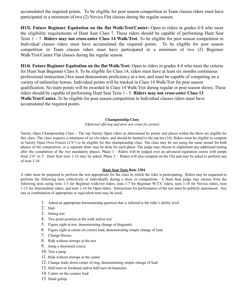accumulated the required points. To be eligible for post season competition in Team classes riders must have participated in a minimum of two (2) Novice Flat classes during the regular season.

**H13i. Future Beginner Equitation on the flat Walk/Trot/Canter:** Open to riders in grades 4-8 who meet the eligibility requirements of Hunt Seat Class 7. These riders should be capable of performing Hunt Seat Tests 1 - 7. **Riders may not cross-enter Class 14 Walk/Trot**. To be eligible for post season competition in Individual classes riders must have accumulated the required points. To be eligible for post season competition in Team classes riders must have participated in a minimum of two (2) Beginner Walk/Trot/Canter Flat classes during the regular season.

**H14i**. **Future Beginner Equitation on the flat Walk/Trot:** Open to riders in grades 4-8 who meet the criteria for Hunt Seat Beginner Class 8. To be eligible for Class 14, riders must have at least six months continuous professional instruction,14xx must demonstrate proficiency at a trot, and must be capable of competing on a variety of unfamiliar horses. Individual points will be tracked in Class 14 Walk/Trot for post season qualification. No team points will be awarded in Class 14 Walk/Trot during regular or post season shows. These riders should be capable of performing Hunt Seat Tests 1 - 5. **Riders may not cross-enter Class 13 Walk/Trot/Canter.** To be eligible for post season competition in Individual classes riders must have accumulated the required points.

#### **Championship Class**

*(Optional of ering and does not count for points)*

Varsity Open Championship Class – The top Varsity Open riders as determined by points and places within the show are eligible for this class. The class requires a minimum of six (6) riders, and should be limited to the top ten (10). Riders must be eligible to compete in Varsity Open Over Fences (2'6") to be eligible for this championship class. The class may be run using the same mount for both phases of the competition, or a separate draw may be done for each phase. The judge may choose to implement any additional testing after the completion of the two mandatory phases. Phase  $1 -$  Riders will be judged over an advanced equitation course with jumps from 2'6" to 3'. Hunt Seat tests 1-16 may be asked. Phase 2 – Riders will also compete on the Flat and may be asked to perform any of tests 1-16.

#### **Hunt Seat Tests Rule 3304**

A rider must be prepared to perform the test appropriate for the class in which the rider is participating. Riders may be requested to perform the following tests collectively or individually during a show or competition. A Hunt Seat judge may choose from the following tests using tests 1-5 for Beginner walk/trot riders, tests 1-7 for Beginner W/T/C riders, tests 1-10 for Novice riders, tests 1-13 for Intermediate riders, and tests 1-16 for Open riders. Instructions for performance of the test must be publicly announced. Any one or combination of appropriate or equivalent tests may be used.

- 1. Asked an appropriate horsemanship question that is tailored to the rider's ability level
- 2. Halt
- 3. Sitting trot
- 4. Two point position at the walk and/or trot
- 5. Figure eight at trot, demonstrating change of diagonals
- 6. Figure eight at canter on correct lead, demonstrating simple change of lead
- 7. Change Horses
- 8. Ride without stirrups at the trot
- 9. Jump a shortened course
- 10. Trot a jump
- 11. Ride without stirrups at the canter
- 12. Change leads down center of ring, demonstrating simple change of lead
- 13. Half-turn on forehand and/or half-turn on haunches
- 14. Canter on the counter lead
- 15. Hand gallop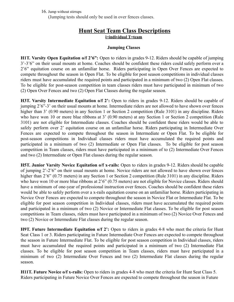16. Jump without stirrups

(Jumping tests should only be used in over fences classes.

# **Hunt Seat Team Class Descriptions i=individual T=team**

# **Jumping Classes**

**H1T. Varsity Open Equitation o/f 2'6":** Open to riders in grades 9-12. Riders should be capable of jumping 3'-3'6" on their usual mounts at home. Coaches should be confident these riders could safely perform over a 2'6" equitation course on an unfamiliar horse. Riders participating in Open Over Fences are expected to compete throughout the season in Open Flat. To be eligible for post season competitions in individual classes riders must have accumulated the required points and participated in a minimum of two (2) Open Flat classes. To be eligible for post-season competition in team classes riders must have participated in minimum of two (2) Open Over Fences and two (2) Open Flat Classes during the regular season.

**H3T. Varsity Intermediate Equitation o/f 2':** Open to riders in grades 9-12. Riders should be capable of jumping 2'6"-3' on their usual mounts at home. Intermediate riders are not allowed to have shown over fences higher than 3' (0.90 meters) in any Section 1 or Section 2 competition (Rule 3101) in any discipline. Riders who have won 10 or more blue ribbons at 3' (0.90 meters) at any Section 1 or Section 2 competition (Rule 3101) are not eligible for Intermediate classes. Coaches should be confident these riders would be able to safely perform over 2' equitation course on an unfamiliar horse. Riders participating in Intermediate Over Fences are expected to compete throughout the season in Intermediate or Open Flat. To be eligible for post-season competitions in Individual classes riders must have accumulated the required points and participated in a minimum of two (2) Intermediate or Open Flat classes. To be eligible for post season competition in Team classes, riders must have participated in a minimum of to (2) Intermediate Over Fences and two (2) Intermediate or Open Flat classes during the regular season.

**H5T. Junior Varsity Novice Equitation o/f x-rails:** Open to riders in grades 9-12. Riders should be capable of jumping 2'-2'6" on their usual mounts at home. Novice riders are not allowed to have shown over fences higher than 2'6" (0.75 meters) in any Section 1 or Section 2 competition (Rule 3101) in any discipline. Riders who have won 10 or more blue ribbons at 2'6" (0.75 meters) are not eligible for Novice classes. Riders should have a minimum of one-year of professional instruction over fences. Coaches should be confident these riders would be able to safely perform over a x-rails equitation course on an unfamiliar horse. Riders participating in Novice Over Fences are expected to compete throughout the season in Novice Flat or Intermediate Flat. To be eligible for post season competition in Individual classes, riders must have accumulated the required points and participated in a minimum of two (2) Novice or Intermediate Flat classes. To be eligible for post season competitions in Team classes, riders must have participated in a minimum of two (2) Novice Over Fences and two (2) Novice or Intermediate Flat classes during the regular season.

**H9T. Future Intermediate Equitation o/f 2':** Open to riders in grades 4-8 who meet the criteria for Hunt Seat Class 1 or 3. Riders participating in Future Intermediate Over Fences are expected to compete throughout the season in Future Intermediate Flat. To be eligible for post season competition in Individual classes, riders must have accumulated the required points and participated in a minimum of two (2) Intermediate Flat classes. To be eligible for post season competition in Team classes, riders must have participated in a minimum of two (2) Intermediate Over Fences and two (2) Intermediate Flat classes during the regular season.

**H11T. Future Novice o/f x-rails:** Open to riders in grades 4-8 who meet the criteria for Hunt Seat Class 5. Riders participating in Future Novice Over Fences are expected to compete throughout the season in Future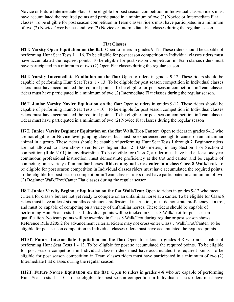Novice or Future Intermediate Flat. To be eligible for post season competition in Individual classes riders must have accumulated the required points and participated in a minimum of two (2) Novice or Intermediate Flat classes. To be eligible for post season competition in Team classes riders must have participated in a minimum of two (2) Novice Over Fences and two (2) Novice or Intermediate Flat classes during the regular season.

# **Flat Classes**

**H2T. Varsity Open Equitation on the flat:** Open to riders in grades 9-12. These riders should be capable of performing Hunt Seat Tests 1 – 16. To be eligible for post season competition in Individual classes riders must have accumulated the required points. To be eligible for post season competition in Team classes riders must have participated in a minimum of two (2) Open Flat classes during the regular season.

**H4T. Varsity Intermediate Equitation on the flat:** Open to riders in grades 9-12. These riders should be capable of performing Hunt Seat Tests 1 - 13. To be eligible for post season competition in Individual classes riders must have accumulated the required points. To be eligible for post season competition in Team classes riders must have participated in a minimum of two (2) Intermediate Flat classes during the regular season.

**H6T. Junior Varsity Novice Equitation on the flat:** Open to riders in grades 9-12. These riders should be capable of performing Hunt Seat Tests 1 - 10. To be eligible for post season competition in Individual classes riders must have accumulated the required points. To be eligible for post season competition in Team classes riders must have participated in a minimum of two (2) Novice Flat classes during the regular season

**H7T. Junior Varsity Beginner Equitation on the flat Walk/Trot/Canter:** Open to riders in grades 9-12 who are not eligible for Novice level jumping classes, but must be experienced enough to canter on an unfamiliar animal in a group. These riders should be capable of performing Hunt Seat Tests 1 through 7. Beginner riders are not allowed to have show over fences higher than 2' (0.60 meters) in any Section 1 or Section 2 competition (Rule 3101) in any discipline. To be eligible for Class 7, a rider must have had at least one year continuous professional instruction, must demonstrate proficiency at the trot and canter, and be capable of competing on a variety of unfamiliar horses. **Riders may not cross-enter into class Class 8 Walk/Trot.** To be eligible for post season competition in Individual classes riders must have accumulated the required points. To be eligible for post season competition in Team classes riders must have participated in a minimum of two (2) Beginner Walk/Trot/Canter Flat classes during the regular season.

**H8T. Junior Varsity Beginner Equitation on the flat Walk/Trot:** Open to riders in grades 9-12 who meet criteria for class 7 but are not yet ready to compete on an unfamiliar horse at a canter. To be eligible for Class 8, riders must have at least six months continuous professional instruction, must demonstrate proficiency at a trot, and must be capable of competing on a variety of unfamiliar horses. These riders should be capable of performing Hunt Seat Tests 1 - 5. Individual points will be tracked in Class 8 Walk/Trot for post season qualification. No team points will be awarded in Class 8 Walk/Trot during regular or post season shows. Reference Rule 3205.2 for advancement criteria. Riders may not cross-enter Class 7 Walk/Trot/Canter. To be eligible for post season competition in Individual classes riders must have accumulated the required points.

**H10T. Future Intermediate Equitation on the flat:** Open to riders in grades 4-8 who are capable of performing Hunt Seat Tests 1 - 13. To be eligible for post se accumulated the required points. To be eligible for post season competition in Individual classes riders must have accumulated the required points. To be eligible for post season competition in Team classes riders must have participated in a minimum of two (2) Intermediate Flat classes during the regular season.

**H12T. Future Novice Equitation on the flat:** Open to riders in grades 4-8 who are capable of performing Hunt Seat Tests 1 - 10. To be eligible for post season competition in Individual classes riders must have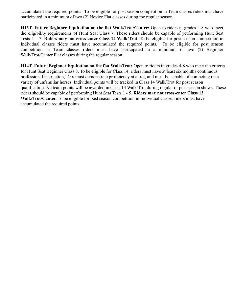accumulated the required points. To be eligible for post season competition in Team classes riders must have participated in a minimum of two (2) Novice Flat classes during the regular season.

**H13T. Future Beginner Equitation on the flat Walk/Trot/Canter:** Open to riders in grades 4-8 who meet the eligibility requirements of Hunt Seat Class 7. These riders should be capable of performing Hunt Seat Tests 1 - 7. **Riders may not cross-enter Class 14 Walk/Trot**. To be eligible for post season competition in Individual classes riders must have accumulated the required points. To be eligible for post season competition in Team classes riders must have participated in a minimum of two (2) Beginner Walk/Trot/Canter Flat classes during the regular season.

**H14T**. **Future Beginner Equitation on the flat Walk/Trot:** Open to riders in grades 4-8 who meet the criteria for Hunt Seat Beginner Class 8. To be eligible for Class 14, riders must have at least six months continuous professional instruction,14xx must demonstrate proficiency at a trot, and must be capable of competing on a variety of unfamiliar horses. Individual points will be tracked in Class 14 Walk/Trot for post season qualification. No team points will be awarded in Class 14 Walk/Trot during regular or post season shows. These riders should be capable of performing Hunt Seat Tests 1 - 5. **Riders may not cross-enter Class 13 Walk/Trot/Canter.** To be eligible for post season competition in Individual classes riders must have accumulated the required points.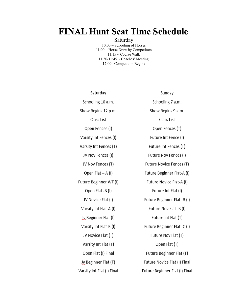# **FINAL Hunt Seat Time Schedule**

Saturday  $10:00 \sim$  Schooling of Horses 11:00 ~ Horse Draw by Competitors  $11:15 \sim$  Course Walk 11:30-11:45 ~ Coaches' Meeting 12:00~ Competition Begins

| Saturday                   | Sunday                         |
|----------------------------|--------------------------------|
| Schooling 10 a.m.          | Schooling 7 a.m.               |
| Show Begins 12 p.m.        | Show Begins 9 a.m.             |
| Class List                 | Class List                     |
| Open Fences (I)            | Open Fences (T)                |
| Varsity Int Fences (I)     | Future Int Fence (I)           |
| Varsity Int Fences (T)     | Future Int Fences (T)          |
| JV Nov Fences (I)          | Future Nov Fences (I)          |
| JV Nov Fences (T)          | Future Novice Fences (T)       |
| Open Flat $- A (I)$        | Future Beginner Flat-A (I)     |
| Future Beginner WT (I)     | Future Novice Flat-A (I)       |
| Open Flat -B (I)           | Future Int Flat (I)            |
| JV Novice Flat (I)         | Future Beginner Flat -B (I)    |
| Varsity Int Flat-A (I)     | Future Nov Flat -B (I)         |
| Jy Beginner Flat (I)       | Future Int Flat (T)            |
| Varsity Int Flat-B (I)     | Future Beginner Flat -C (I)    |
| JV Novice Flat (T)         | Future Nov Flat (T)            |
| Varsity Int Flat (T)       | Open Flat (T)                  |
| Open Flat (I) Final        | Future Beginner Flat (T)       |
| Jy Beginner Flat (T)       | Future Novice Flat (I) Final   |
| Varsity Int Flat (I) Final | Future Beginner Flat (I) Final |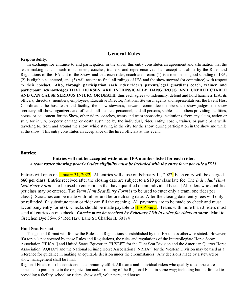### **General Rules**

#### **Responsibility:**

In exchange for entrance to and participation in the show, this entry constitutes an agreement and affirmation that the team making it, and each of its riders, coaches, trainers, and representatives shall accept and abide by the Rules and Regulations of the IEA and of the Show, and that each rider, coach and Team: (1) is a member in good standing of IEA, (2) is eligible as entered, and (3) will accept as final all rulings of IEA and the show steward (or committee) with respect to their conduct. **Also, through participation each rider, rider's parents/legal guardians, coach, trainer, and participant acknowledges THAT HORSES ARE INTRINSICALLY DANGEROUS AND UNPREDICTABLE AND CAN CAUSE SERIOUS INJURY OR DEATH**, thus each agrees to indemnify, defend and hold harmless IEA, its officers, directors, members, employees, Executive Director**,** National Steward, agents and representatives, the Event Host Coordinator, the host team and facility, the show stewards, stewards committee members, the show judges, the show secretary, all show organizers and officials, all medical personnel, and all persons, stables, and others providing facilities, horses or equipment for the Show, other riders, coaches, teams and team sponsoring institutions, from any claim, action or suit, for injury, property damage or death sustained by the individual, rider, entity, coach, trainer, or participant while traveling to, from and around the show, while staying in the city for the show, during participation in the show and while at the show. This entry constitutes an acceptance of the hired officials at this event.

#### **Entries:**

## **Entries will not be accepted without an IEA number listed for each rider.** *A team roster showing proof of rider eligibility must be included with the entry form per rule #5313.*

Entries will open on January 31, 2022. All entries will close on February 14, 2022. Each entry will be charged **\$60 per class.** Entries received after the closing date are subject to a \$10 per class late fee. The *Individual Hunt Seat Entry Form* is to be used to enter riders that have qualified on an individual basis. {All riders who qualified per class may be entered. The *Team Hunt Seat Entry Form* is to be used to enter only a team, one rider per class.} Scratches can be made with full refund before closing date. After the closing date, entry fees will only be refunded if a substitute team or rider can fill the opening. All payments are to be made by check and must accompany entry form(s). Checks should be made payable to  $\overline{\text{IEA} \text{ Zone 5}}$ . Teams with more than 3 riders must send all entries on one check. *Checks must be received by February 17th in order for riders to show.* Mail to: Gretchen Dye 36w667 Red Haw Lane St. Charles IL 60174

#### **Hunt Seat Format:**

The general format will follow the Rules and Regulations as established by the IEA unless otherwise stated. However, if a topic is not covered by these Rules and Regulations, the rules and regulations of the Intercollegiate Horse Show Association ["IHSA"] and United States Equestrian ["USEF"] for the Hunt Seat Division and the American Quarter Horse Association [AQHA"] and the National Reining Horse Association ["NRHA"] for the Western Division may be used as a reference for guidance in making an equitable decision under the circumstances. Any decisions made by a steward or show management shall be final.

Regional Finals must be considered a community effort. All teams and individual riders who qualify to compete are expected to participate in the organization and/or running of the Regional Final in some way; including but not limited to providing a facility, schooling riders, show staff, volunteers, and horses.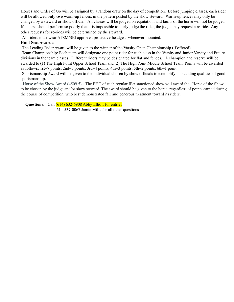Horses and Order of Go will be assigned by a random draw on the day of competition. Before jumping classes, each rider will be allowed **only two** warm-up fences, in the pattern posted by the show steward. Warm-up fences may only be changed by a steward or show official. All classes will be judged on equitation, and faults of the horse will not be judged. If a horse should perform so poorly that it is impossible to fairly judge the rider, the judge may request a re-ride. Any other requests for re-rides will be determined by the steward.

-All riders must wear ATSM/SEI approved protective headgear whenever mounted.

### **Hunt Seat Awards:**

-The Leading Rider Award will be given to the winner of the Varsity Open Championship (if offered).

-Team Championship: Each team will designate one point rider for each class in the Varsity and Junior Varsity and Future divisions in the team classes. Different riders may be designated for flat and fences. A champion and reserve will be awarded to (1) The High Point Upper School Team and (2) The High Point Middle School Team. Points will be awarded as follows: 1st=7 points, 2nd=5 points, 3rd=4 points, 4th=3 points, 5th=2 points, 6th=1 point.

-Sportsmanship Award will be given to the individual chosen by show officials to exemplify outstanding qualities of good sportsmanship.

-Horse of the Show Award (4509.5) - The EHC of each regular IEA sanctioned show will award the "Horse of the Show" to be chosen by the judge and/or show steward. The award should be given to the horse, regardless of points earned during the course of competition, who best demonstrated fair and generous treatment toward its riders.

**Questions:** Call (614) 632-6908 Abby Elliott for entries

614-537-0067 Jamie Mills for all other questions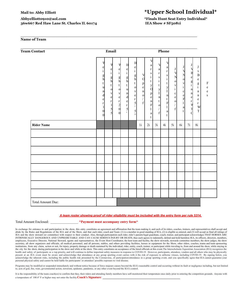## **Abbyelliott0910@aol.com \*Finals Hunt Seat Entry Individual\* 36w667 Red Haw Lane St. Charles IL 60174 IEA Show # SF5081i**

# **Mail to: Abby Elliott \*Upper School Individual\***

#### **Name of Team**

| <b>Team Contact</b> |                                                                                                                                | Email<br>Phone                                                                                                                                |                                                                                                                      |                                                                                                                                                                               |                                                                                                                                                                                     |                                                                                                     |                                                                                                                                      |                                                                                                                                           |                                                                                                                                                                    |                                                                                                                                          |                                                                                  |                                                                                                                                                 |                                                                                                                                         |                                                                |
|---------------------|--------------------------------------------------------------------------------------------------------------------------------|-----------------------------------------------------------------------------------------------------------------------------------------------|----------------------------------------------------------------------------------------------------------------------|-------------------------------------------------------------------------------------------------------------------------------------------------------------------------------|-------------------------------------------------------------------------------------------------------------------------------------------------------------------------------------|-----------------------------------------------------------------------------------------------------|--------------------------------------------------------------------------------------------------------------------------------------|-------------------------------------------------------------------------------------------------------------------------------------------|--------------------------------------------------------------------------------------------------------------------------------------------------------------------|------------------------------------------------------------------------------------------------------------------------------------------|----------------------------------------------------------------------------------|-------------------------------------------------------------------------------------------------------------------------------------------------|-----------------------------------------------------------------------------------------------------------------------------------------|----------------------------------------------------------------|
|                     | e<br>$\mathbf{i}$<br>$\frac{g}{h}$<br>t<br>$\mathbf u$<br>$\mathbf n$<br>d<br>e<br>$\mathbf r$<br>$\boldsymbol{0}$<br>$\Omega$ | V<br>$\frac{e}{i}$ i g h<br>$\mathfrak{t}$<br>$\mathbf{0}$<br>$\mathbf{V}$<br>$\mathbf{e}$<br>$\begin{array}{c} r \\ 1 \\ 5 \\ 5 \end{array}$ | $\mathbf{e}$<br>$\mathbf{i}$<br>$\frac{g}{h}$<br>t<br>$\circ$<br>V<br>$\mathsf{e}$<br>r<br>$\frac{2}{0}$<br>$\Omega$ | $\mathbf{H}$<br>$\frac{e}{i}$<br>$\frac{g}{h}$<br>$\mathbf t$<br>$\mathbf u$<br>$\lfloor n \rfloor$<br>$\mathbf{d}$<br>$\rm e$<br>$\begin{bmatrix} 1 \\ 5 \\ 1 \end{bmatrix}$ | Н<br>${\rm e}$<br>$\rm i$<br>$\frac{g}{h}$<br>$\mathbf t$<br>$\mathbf{o}$<br>$\mathbf{V}$<br>$\mathbf e$<br>$\mathbf r$<br>$\mathfrak{s}$<br>$\overline{\phantom{a}}$<br>5<br>$, ,$ | $\mathbf V$<br>$\mathbf{O}$<br>$\frac{p}{e}$<br>$\mathbf n$<br>$\circ$<br>$\sqrt{2}$<br>$\mathbf f$ | v<br>a<br>$\mathbf r$<br>${\bf S}$<br>$\mathbf{i}$<br>t<br>$\frac{y}{0}$<br>p<br>$\mathbf e$<br>$\mathbf n$<br>F<br>a<br>$\mathbf t$ | V<br>$\rm{a}$<br>$\mathbf r$<br>${\bf S}$<br>$\rm i$<br>t<br>$\mathbf y$<br>$\mathbf I$<br>$\mathbf n$<br>t<br>$\mathbf O$<br>$\mathbf f$ | V<br>$\mathbf{a}$<br>$\mathbf r$<br>${\bf S}$<br>$\rm i$<br>t<br>$\mathbf y$<br>$\overline{I}$<br>$\mathbf n$<br>$\mathsf{t}$<br>$\boldsymbol{F}$<br>$\rm{a}$<br>t | $\mathbf{J}$<br>V<br>N<br>$\circ$<br>$\mathbf V$<br>$\rm i$<br>$\mathbf c$<br>$\mathbf{e}% _{0}\left( \mathbf{1}\right)$<br>$\circ$<br>f | N<br>$\circ$<br>$\mathbf{v}$<br>$\rm i$<br>c<br>$\mathbf{e}$<br>$\mathbf F$<br>a | $_{\rm J}$<br>$\mathbf{p}$<br>$\mathbf{e}$<br>$\frac{g}{i}$<br>$\mathbf n$<br>$\mathbf n$<br>e<br>$\mathbf r$<br>$\overline{V}$<br><sup>-</sup> | J<br>$\mathbf{V}$<br>$\, {\bf B}$<br>$\rm e$<br>$\frac{g}{i}$<br>$\mathbf n$<br>$\mathbf n$<br>${\rm e}$<br>$\mathbf r$<br>W<br>$\rm T$ | $\boldsymbol{\mathrm{F}}$<br>${\bf e}$<br>${\bf e}$<br>$\bf S$ |
| <b>Rider Name</b>   |                                                                                                                                |                                                                                                                                               |                                                                                                                      |                                                                                                                                                                               |                                                                                                                                                                                     | 1i                                                                                                  | 2i                                                                                                                                   | 3i                                                                                                                                        | 4i                                                                                                                                                                 | 5i                                                                                                                                       | 6i                                                                               | 7i                                                                                                                                              | 8i                                                                                                                                      |                                                                |
|                     |                                                                                                                                |                                                                                                                                               |                                                                                                                      |                                                                                                                                                                               |                                                                                                                                                                                     |                                                                                                     |                                                                                                                                      |                                                                                                                                           |                                                                                                                                                                    |                                                                                                                                          |                                                                                  |                                                                                                                                                 |                                                                                                                                         |                                                                |
|                     |                                                                                                                                |                                                                                                                                               |                                                                                                                      |                                                                                                                                                                               |                                                                                                                                                                                     |                                                                                                     |                                                                                                                                      |                                                                                                                                           |                                                                                                                                                                    |                                                                                                                                          |                                                                                  |                                                                                                                                                 |                                                                                                                                         |                                                                |
|                     |                                                                                                                                |                                                                                                                                               |                                                                                                                      |                                                                                                                                                                               |                                                                                                                                                                                     |                                                                                                     |                                                                                                                                      |                                                                                                                                           |                                                                                                                                                                    |                                                                                                                                          |                                                                                  |                                                                                                                                                 |                                                                                                                                         |                                                                |
|                     |                                                                                                                                |                                                                                                                                               |                                                                                                                      |                                                                                                                                                                               |                                                                                                                                                                                     |                                                                                                     |                                                                                                                                      |                                                                                                                                           |                                                                                                                                                                    |                                                                                                                                          |                                                                                  |                                                                                                                                                 |                                                                                                                                         |                                                                |
|                     |                                                                                                                                |                                                                                                                                               |                                                                                                                      |                                                                                                                                                                               |                                                                                                                                                                                     |                                                                                                     |                                                                                                                                      |                                                                                                                                           |                                                                                                                                                                    |                                                                                                                                          |                                                                                  |                                                                                                                                                 |                                                                                                                                         |                                                                |
|                     |                                                                                                                                |                                                                                                                                               |                                                                                                                      |                                                                                                                                                                               |                                                                                                                                                                                     |                                                                                                     |                                                                                                                                      |                                                                                                                                           |                                                                                                                                                                    |                                                                                                                                          |                                                                                  |                                                                                                                                                 |                                                                                                                                         |                                                                |
|                     |                                                                                                                                |                                                                                                                                               |                                                                                                                      |                                                                                                                                                                               |                                                                                                                                                                                     |                                                                                                     |                                                                                                                                      |                                                                                                                                           |                                                                                                                                                                    |                                                                                                                                          |                                                                                  |                                                                                                                                                 |                                                                                                                                         |                                                                |
|                     |                                                                                                                                |                                                                                                                                               |                                                                                                                      |                                                                                                                                                                               |                                                                                                                                                                                     |                                                                                                     |                                                                                                                                      |                                                                                                                                           |                                                                                                                                                                    |                                                                                                                                          |                                                                                  |                                                                                                                                                 |                                                                                                                                         |                                                                |
| Total Amount Due:   |                                                                                                                                |                                                                                                                                               |                                                                                                                      |                                                                                                                                                                               |                                                                                                                                                                                     |                                                                                                     |                                                                                                                                      |                                                                                                                                           |                                                                                                                                                                    |                                                                                                                                          |                                                                                  |                                                                                                                                                 |                                                                                                                                         |                                                                |

**\_\_\_\_\_\_\_\_\_\_\_\_\_\_\_\_\_\_\_\_\_\_\_\_\_\_\_\_\_\_\_\_\_\_\_\_\_\_\_\_\_\_\_\_\_\_\_\_\_\_\_\_\_\_\_\_\_\_\_\_\_\_\_\_\_\_\_\_\_\_\_\_\_**

#### A team roster showing proof of rider eligibility must be included with the entry form per rule 5314.

Total Amount Enclosed: \_\_\_\_\_\_\_\_\_\_\_\_\_\_\_\_ \***Payment must accompany entry form\***

In exchange for entrance to and participation in the show, this entry constitutes an agreement and affirmation that the team making it, and each of its riders, coaches, trainers, and representatives shall accept and abide by the Rules and Regulations of the IEA and of the Show, and that each rider, coach and Team: (1) is a member in good standing of IEA, (2) is eligible as entered, and (3) will accept as final all rulings of<br>IEA and t INTRINSICALLY DANGEROUS AND UNPREDICTABLE AND CAN CAUSE SERIOUS INJURY OR DEATH, thus each agrees to indemnify, defend and hold harmless IEA, its officers, directors, members, employees, Executive Director, National Steward, agents and representatives, the Event Host Coordinator, the host team and facility, the show stewards, stewards committee members, the show judges, the show secretary, all show organizers and officials, all medical personnel, and all persons, stables, and others providing facilities, horses or equipment for the Show, other riders, coaches, teams and team sponsoring institutions, from any claim, action or suit, for injury, property damage or death sustained by the individual, rider, entity, coach, trainer, or participant while traveling to, from and around the show, while staying in the city for the show, during participation in the show and while at the show. This entry constitutes an acceptance of the hired officials at this event. The Interscholastic Equestrian Association (IEA) recognizes the health and safety of participants as a top priority, and will continue to define important safety measures in response to COVID-19. However, participants, attendees, vendors and all others who may be physically present at an IEA event must be aware and acknowledge that attendance at any group sporting event carries with it the risk of exposure to airborne viruses, including COVID-19. By signing below, you acknowledge the inherent risks, including the public health risk presented by the Coronavirus, of participation/attendance in a group sporting event, and you specifically agree that IEA cannot guarantee your personal physical safety and cannot be held liable for participants' or attendees' possible exposure to viral disease.

Programs may be modified or suspended immediately and without notice because of force majeure causes beyond the IEA's reasonable control and occurring without its fault or negligence including, but not limited to, acts of god, fire, wars, governmental action, terrorism, epidemic, pandemic, or any other event beyond the IEA's control.

It is the responsibility of the team coach(es) to confirm that they, their riders and attending family members have self-monitored their temperature once daily prior to entering the competition grounds. Anyone with a temperature of 100.4° F or higher may not enter the facility. **Coach's Signature**: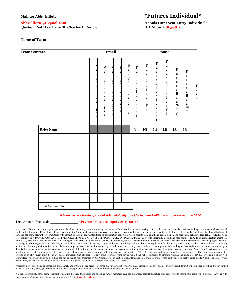**36w667 Red Haw Lane St. Charles IL 60174 IEA Show # SF5081i**

# **Mail to: Abby Elliott \*Futures Individual\***

**Abbyelliott0910@aol.com \*Finals Hunt Seat Entry Individual\***

#### **Name of Team**

| <b>Team Contact</b> | Email                                                                                                                     |                                                                                                                                |                                                                                                                                                   |                                                                                                                          |                                                                                                                                        |                                                                                                                                                                                 |                                                                                                                                                                                          | Phone                                                                                                                                                                                                                             |                                                                                                                                                                                                                                  |                                                                                                                                                     |                                                                                                                                 |                                                                            |  |  |  |  |  |
|---------------------|---------------------------------------------------------------------------------------------------------------------------|--------------------------------------------------------------------------------------------------------------------------------|---------------------------------------------------------------------------------------------------------------------------------------------------|--------------------------------------------------------------------------------------------------------------------------|----------------------------------------------------------------------------------------------------------------------------------------|---------------------------------------------------------------------------------------------------------------------------------------------------------------------------------|------------------------------------------------------------------------------------------------------------------------------------------------------------------------------------------|-----------------------------------------------------------------------------------------------------------------------------------------------------------------------------------------------------------------------------------|----------------------------------------------------------------------------------------------------------------------------------------------------------------------------------------------------------------------------------|-----------------------------------------------------------------------------------------------------------------------------------------------------|---------------------------------------------------------------------------------------------------------------------------------|----------------------------------------------------------------------------|--|--|--|--|--|
|                     | e<br>$\mathbf{i}$<br>$\frac{g}{h}$<br>t<br>u<br>$\mathbf{n}$<br>d<br>e<br>r<br>$\mathbf{1}$<br>$\overline{0}$<br>$\Omega$ | V<br>$\frac{e}{i}$<br>g<br>h<br>$\mathbf t$<br>$\mathbf{o}$<br>$\mathbf V$<br>$\mathbf e$<br>$\bf r$<br>$\,1$<br>$\frac{5}{5}$ | e<br>$\rm i$<br>$\frac{g}{h}$<br>$\mathbf t$<br>$\circ$<br>$\mathbf{v}$<br>$\mathbf e$<br>$\begin{bmatrix} 1 \\ 2 \\ 0 \end{bmatrix}$<br>$\Omega$ | H<br>$\mathbf{e}$<br>$\mathbf{i}$<br>$\frac{g}{h}$<br>t<br>u<br>$\mathbf{n}$<br>d<br>$\mathbf{e}$<br>r<br>$\overline{5}$ | H<br>$\frac{e}{i}$ g h<br>$\mathbf t$<br>$\circ$<br>$\mathbf{v}$<br>$\mathbf{e}$<br>$\begin{array}{c} r \\ 5 \\ 5 \\ 5 \\ \end{array}$ | $\mathbf F$<br>$\mathbf u$<br>t<br>$\mathbf u$<br>$\mathbf r$<br>${\bf e}$<br>$\mathbf I$<br>$\mathbf n$<br>$\mathsf{t}$<br>$\cdot$<br>$\mathbf 0$<br>$\sqrt{2}$<br>$\mathbf f$ | ${\bf F}$<br>$\mathbf u$<br>$\mathbf t$<br>$\mathbf u$<br>$\mathbf r$<br>$\mathbf e$<br>$\rm I$<br>n<br>$\mathbf t$<br>$\cdot$<br>$\mathbf F$<br>$\mathbf{1}$<br>$\rm{a}$<br>$\mathbf t$ | $\mathbf F$<br>$\mathbf u$<br>$\mathbf t$<br>$\mathbf u$<br>$\mathbf{r}$<br>${\bf e}$<br>$\overline{N}$<br>$\mathbf 0$<br>$\mathbf{V}$<br>$\mathbf{i}$<br>$\mathbf c$<br>$\mathbf e$<br>$\mathbf{o}$<br>$\sqrt{2}$<br>$\mathbf f$ | $\mathbf F$<br>u<br>$\mathbf t$<br>u<br>$\mathbf r$<br>${\bf e}$<br>$\overline{N}$<br>$\mathbf O$<br>$\mathbf{V}$<br>$\rm i$<br>$\mathbf c$<br>${\bf e}$<br>$\boldsymbol{\mathrm{F}}$<br>$\mathbf{1}$<br>$\rm{a}$<br>$\mathbf t$ | $\mathbf F$<br>$\mathbf u$<br>t<br>u<br>$\mathbf r$<br>$\mathbf e$<br>$\, {\bf B}$<br>${\rm e}$<br>$_{\rm W}^{\rm g}$<br>$\mathbf T$<br>$\mathbf C$ | $\mathbf F$<br>$\mathbf u$<br>t<br>u<br>$\mathbf r$<br>${\bf e}$<br>$\, {\bf B}$<br>${\bf e}$<br>$\frac{g}{W}$<br>$\bar{\rm T}$ | $\mathbf F$<br>$\mathbf{e}% _{t}\left( t\right)$<br>$\mathbf e$<br>$\bf S$ |  |  |  |  |  |
| <b>Rider Name</b>   |                                                                                                                           |                                                                                                                                |                                                                                                                                                   |                                                                                                                          |                                                                                                                                        | 9i                                                                                                                                                                              | 10i                                                                                                                                                                                      | 11i                                                                                                                                                                                                                               | 12i                                                                                                                                                                                                                              | 13i                                                                                                                                                 | 14i                                                                                                                             |                                                                            |  |  |  |  |  |
|                     |                                                                                                                           |                                                                                                                                |                                                                                                                                                   |                                                                                                                          |                                                                                                                                        |                                                                                                                                                                                 |                                                                                                                                                                                          |                                                                                                                                                                                                                                   |                                                                                                                                                                                                                                  |                                                                                                                                                     |                                                                                                                                 |                                                                            |  |  |  |  |  |
|                     |                                                                                                                           |                                                                                                                                |                                                                                                                                                   |                                                                                                                          |                                                                                                                                        |                                                                                                                                                                                 |                                                                                                                                                                                          |                                                                                                                                                                                                                                   |                                                                                                                                                                                                                                  |                                                                                                                                                     |                                                                                                                                 |                                                                            |  |  |  |  |  |
|                     |                                                                                                                           |                                                                                                                                |                                                                                                                                                   |                                                                                                                          |                                                                                                                                        |                                                                                                                                                                                 |                                                                                                                                                                                          |                                                                                                                                                                                                                                   |                                                                                                                                                                                                                                  |                                                                                                                                                     |                                                                                                                                 |                                                                            |  |  |  |  |  |
|                     |                                                                                                                           |                                                                                                                                |                                                                                                                                                   |                                                                                                                          |                                                                                                                                        |                                                                                                                                                                                 |                                                                                                                                                                                          |                                                                                                                                                                                                                                   |                                                                                                                                                                                                                                  |                                                                                                                                                     |                                                                                                                                 |                                                                            |  |  |  |  |  |
|                     |                                                                                                                           |                                                                                                                                |                                                                                                                                                   |                                                                                                                          |                                                                                                                                        |                                                                                                                                                                                 |                                                                                                                                                                                          |                                                                                                                                                                                                                                   |                                                                                                                                                                                                                                  |                                                                                                                                                     |                                                                                                                                 |                                                                            |  |  |  |  |  |
|                     |                                                                                                                           |                                                                                                                                |                                                                                                                                                   |                                                                                                                          |                                                                                                                                        |                                                                                                                                                                                 |                                                                                                                                                                                          |                                                                                                                                                                                                                                   |                                                                                                                                                                                                                                  |                                                                                                                                                     |                                                                                                                                 |                                                                            |  |  |  |  |  |
|                     |                                                                                                                           |                                                                                                                                |                                                                                                                                                   |                                                                                                                          |                                                                                                                                        |                                                                                                                                                                                 |                                                                                                                                                                                          |                                                                                                                                                                                                                                   |                                                                                                                                                                                                                                  |                                                                                                                                                     |                                                                                                                                 |                                                                            |  |  |  |  |  |
|                     |                                                                                                                           |                                                                                                                                |                                                                                                                                                   |                                                                                                                          |                                                                                                                                        |                                                                                                                                                                                 |                                                                                                                                                                                          |                                                                                                                                                                                                                                   |                                                                                                                                                                                                                                  |                                                                                                                                                     |                                                                                                                                 |                                                                            |  |  |  |  |  |

**\_\_\_\_\_\_\_\_\_\_\_\_\_\_\_\_\_\_\_\_\_\_\_\_\_\_\_\_\_\_\_\_\_\_\_\_\_\_\_\_\_\_\_\_\_\_\_\_\_\_\_\_\_\_\_\_\_\_\_\_\_\_\_\_\_\_\_\_\_\_\_\_\_**

#### A team roster showing proof of rider eligibility must be included with the entry form per rule 5314.

#### Total Amount Enclosed: \_\_\_\_\_\_\_\_\_\_\_\_\_\_\_\_ \***Payment must accompany entry form\***

In exchange for entrance to and participation in the show, this entry constitutes an agreement and affirmation that the team making it, and each of its riders, coaches, trainers, and representatives shall accept and abide by the Rules and Regulations of the IEA and of the Show, and that each rider, coach and Team: (1) is a member in good standing of IEA, (2) is eligible as entered, and (3) will accept as final all rulings of<br>IEA and t INTRINSICALLY DANGEROUS AND UNPREDICTABLE AND CAN CAUSE SERIOUS INJURY OR DEATH, thus each agrees to indemnify, defend and hold harmless IEA, its officers, directors, members, employees, Executive Director, National Steward, agents and representatives, the Event Host Coordinator, the host team and facility, the show stewards, stewards committee members, the show judges, the show secretary, all show organizers and officials, all medical personnel, and all persons, stables, and others providing facilities, horses or equipment for the Show, other riders, coaches, teams and team sponsoring institutions, from any claim, action or suit, for injury, property damage or death sustained by the individual, rider, entity, coach, trainer, or participant while traveling to, from and around the show, while staying in the city for the show, during participation in the show and while at the show. This entry constitutes an acceptance of the hired officials at this event. The Interscholastic Equestrian Association (IEA) recognizes the health and safety of participants as a top priority, and will continue to define important safety measures in response to COVID-19. However, participants, attendees, vendors and all others who may be physically present at an IEA event must be aware and acknowledge that attendance at any group sporting event carries with it the risk of exposure to airborne viruses, including COVID-19. By signing below, you extra nowledge the inherent risks, including the public health risk presented by the Coronavirus, of participation/attendance in a group sporting event, and you specifically agree that IEA cannot guarantee your section and personal physical safety and cannot be held liable for participants' or attendees' possible exposure to viral disease.

Programs may be modified or suspended immediately and without notice because of force majeure causes beyond the IEA's reasonable control and occurring without its fault or negligence including, but not limited to, acts of god, fire, wars, governmental action, terrorism, epidemic, pandemic, or any other event beyond the IEA's control.

It is the responsibility of the team coach(es) to confirm that they, their riders and attending family members have self-monitored their temperature once daily prior to entering the competition grounds. Anyone with a temperature of 100.4° F or higher may not enter the facility. **Coach's Signature**: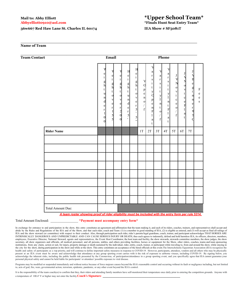# **Abbyelliott0910@aol.com \*Finals Hunt Seat Entry Team\***

#### **36w667 Red Haw Lane St. Charles IL 60174 IEA Show # SF5081T**

# **Mail to: Abby Elliott \*Upper School Team\***

#### **Name of Team**

| <b>Team Contact</b> | Email                                                                                                                                                                                                                                                                   |                                                                                                                                                                               |                                                                                                                       |                                                                                                                                                                      |                                                                                   |                                                                                                                                                                                  | Phone                                                                                                                                               |                                                                                                                                                |                                                                                                     |                                                                                                            |                                                                                                                                            |                                             |  |  |  |  |
|---------------------|-------------------------------------------------------------------------------------------------------------------------------------------------------------------------------------------------------------------------------------------------------------------------|-------------------------------------------------------------------------------------------------------------------------------------------------------------------------------|-----------------------------------------------------------------------------------------------------------------------|----------------------------------------------------------------------------------------------------------------------------------------------------------------------|-----------------------------------------------------------------------------------|----------------------------------------------------------------------------------------------------------------------------------------------------------------------------------|-----------------------------------------------------------------------------------------------------------------------------------------------------|------------------------------------------------------------------------------------------------------------------------------------------------|-----------------------------------------------------------------------------------------------------|------------------------------------------------------------------------------------------------------------|--------------------------------------------------------------------------------------------------------------------------------------------|---------------------------------------------|--|--|--|--|
|                     | e<br>e<br>$\mathbf{i}$<br>$\rm i$<br>g<br>h<br>$\frac{g}{h}$<br>t<br>$\mathbf t$<br>$\mathbf u$<br>$\mathbf 0$<br>$\mathbf{n}$<br>V<br>d<br>e<br>$\mathbf e$<br>$\mathbf r$<br>$\bf r$<br>$\mathbf{1}$<br>$\mathbf{1}$<br>$\frac{5}{5}$<br>$\boldsymbol{0}$<br>$\Omega$ | V<br>$\begin{array}{c}\ne \\ i \\ g \\ h\n\end{array}$<br>$\ensuremath{\mathbf{t}}$<br>$\circ$<br>v<br>$\mathbf e$<br>$\begin{bmatrix} 1 \\ 2 \\ 0 \end{bmatrix}$<br>$\theta$ | Η<br>$\mathbf e$<br>$\rm i$<br>$\frac{g}{h}$<br>$\mathbf t$<br>u<br>n<br>$\mathbf d$<br>${\bf e}$<br>$\mathbf r$<br>5 | $\mathbf H$<br>$\mathbf e$<br>$\rm i$<br>$\frac{g}{h}$<br>$\mathbf t$<br>$\mathbf 0$<br>$\mathbf{V}$<br>${\bf e}$<br>$\bf r$<br>5<br>$^\circ$<br>$\mathfrak{s}$<br>, | V<br>$\mathcal{O}$<br>$_{\rm e}^{\rm p}$<br>n<br>$\circ$<br>$\boldsymbol{/}$<br>f | V<br>a<br>$\mathbf r$<br>${\bf S}$<br>$\rm i$<br>$\mathsf t$<br>$\mathbf y$<br>$\overline{O}$<br>$\, {\bf p}$<br>${\bf e}$<br>$\mathbf n$<br>$\boldsymbol{\mathrm{F}}$<br>a<br>t | V<br>$\mathbf{a}$<br>$\mathbf r$<br>$\frac{s}{i}$<br>$\mathbf t$<br>$_{\rm I}^{\rm y}$<br>$\mathbf n$<br>$\mathsf t$<br>$\mathbf{o}$<br>$\mathbf f$ | V<br>a<br>$\mathbf r$<br>${\bf S}$<br>$\mathbf{i}$<br>$\mathsf t$<br>$_{\rm I}^{\rm y}$<br>$\mathbf n$<br>$\mathbf t$<br>$\mathbf F$<br>a<br>t | J<br>N<br>$\mathbf{o}$<br>$\mathbf{V}$<br>$\rm i$<br>$\mathbf c$<br>$\mathbf e$<br>$\mathbf 0$<br>f | N<br>$\mathbf{o}$<br>$\overline{\mathbf{V}}$<br>$\rm i$<br>$\mathbf c$<br>$\mathbf{e}$<br>$\mathbf F$<br>a | $\overline{B}$<br>$\begin{array}{c}\ne \\  g \\  i\n\end{array}$<br>$\mathbf{n}$<br>$\mathbf{n}$<br>$\rm e$<br>$\bf r$<br>$\overline{\nu}$ | $\mathbf F$<br>$\rm e$<br>$\rm e$<br>$\,$ s |  |  |  |  |
| <b>Rider Name</b>   |                                                                                                                                                                                                                                                                         |                                                                                                                                                                               |                                                                                                                       |                                                                                                                                                                      | 1T                                                                                | 2T                                                                                                                                                                               | 3T                                                                                                                                                  | $4\mathrm{T}$                                                                                                                                  | $5\mathrm{T}$                                                                                       | 6T                                                                                                         | $7\mathrm{T}$                                                                                                                              |                                             |  |  |  |  |
|                     |                                                                                                                                                                                                                                                                         |                                                                                                                                                                               |                                                                                                                       |                                                                                                                                                                      |                                                                                   |                                                                                                                                                                                  |                                                                                                                                                     |                                                                                                                                                |                                                                                                     |                                                                                                            |                                                                                                                                            |                                             |  |  |  |  |
|                     |                                                                                                                                                                                                                                                                         |                                                                                                                                                                               |                                                                                                                       |                                                                                                                                                                      |                                                                                   |                                                                                                                                                                                  |                                                                                                                                                     |                                                                                                                                                |                                                                                                     |                                                                                                            |                                                                                                                                            |                                             |  |  |  |  |
|                     |                                                                                                                                                                                                                                                                         |                                                                                                                                                                               |                                                                                                                       |                                                                                                                                                                      |                                                                                   |                                                                                                                                                                                  |                                                                                                                                                     |                                                                                                                                                |                                                                                                     |                                                                                                            |                                                                                                                                            |                                             |  |  |  |  |
|                     |                                                                                                                                                                                                                                                                         |                                                                                                                                                                               |                                                                                                                       |                                                                                                                                                                      |                                                                                   |                                                                                                                                                                                  |                                                                                                                                                     |                                                                                                                                                |                                                                                                     |                                                                                                            |                                                                                                                                            |                                             |  |  |  |  |
|                     |                                                                                                                                                                                                                                                                         |                                                                                                                                                                               |                                                                                                                       |                                                                                                                                                                      |                                                                                   |                                                                                                                                                                                  |                                                                                                                                                     |                                                                                                                                                |                                                                                                     |                                                                                                            |                                                                                                                                            |                                             |  |  |  |  |
|                     |                                                                                                                                                                                                                                                                         |                                                                                                                                                                               |                                                                                                                       |                                                                                                                                                                      |                                                                                   |                                                                                                                                                                                  |                                                                                                                                                     |                                                                                                                                                |                                                                                                     |                                                                                                            |                                                                                                                                            |                                             |  |  |  |  |
|                     |                                                                                                                                                                                                                                                                         |                                                                                                                                                                               |                                                                                                                       |                                                                                                                                                                      |                                                                                   |                                                                                                                                                                                  |                                                                                                                                                     |                                                                                                                                                |                                                                                                     |                                                                                                            |                                                                                                                                            |                                             |  |  |  |  |
|                     |                                                                                                                                                                                                                                                                         |                                                                                                                                                                               |                                                                                                                       |                                                                                                                                                                      |                                                                                   |                                                                                                                                                                                  |                                                                                                                                                     |                                                                                                                                                |                                                                                                     |                                                                                                            |                                                                                                                                            |                                             |  |  |  |  |
| Total Amount Due:   |                                                                                                                                                                                                                                                                         |                                                                                                                                                                               |                                                                                                                       |                                                                                                                                                                      |                                                                                   |                                                                                                                                                                                  |                                                                                                                                                     |                                                                                                                                                |                                                                                                     |                                                                                                            |                                                                                                                                            |                                             |  |  |  |  |

**\_\_\_\_\_\_\_\_\_\_\_\_\_\_\_\_\_\_\_\_\_\_\_\_\_\_\_\_\_\_\_\_\_\_\_\_\_\_\_\_\_\_\_\_\_\_\_\_\_\_\_\_\_\_\_\_\_\_\_\_\_\_\_\_\_\_\_\_\_\_\_\_\_**

A team roster showing proof of rider eligibility must be included with the entry form per rule 5314.

#### Total Amount Enclosed: \_\_\_\_\_\_\_\_\_\_\_\_\_\_\_\_ \***Payment must accompany entry form\***

In exchange for entrance to and participation in the show, this entry constitutes an agreement and affirmation that the team making it, and each of its riders, coaches, trainers, and representatives shall accept and abide by the Rules and Regulations of the IEA and of the Show, and that each rider, coach and Team: (1) is a member in good standing of IEA, (2) is eligible as entered, and (3) will accept as final all rulings of IEA and the show steward (or committee) with respect to their conduct. Also, through participation each rider, rider's parents/legal guardians, coach, trainer, and participant acknowledges THAT HORSES ARE INTRINSICALLY DANGEROUS AND UNPREDICTABLE AND CAN CAUSE SERIOUS INJURY OR DEATH, thus each agrees to indemnify, defend and hold harmless IEA, its officers, directors, members, employees, Executive Director, National Steward, agents and representatives, the Event Host Coordinator, the host team and facility, the show stewards, stewards committee members, the show judges, the show secretary, all show organizers and officials, all medical personnel, and all persons, stables, and others providing facilities, horses or equipment for the Show, other riders, coaches, teams and team sponsoring<br>institution the city for the show, during participation in the show and while at the show. This entry constitutes an acceptance of the hired officials at this event. The Interscholastic Equestrian Association (IEA) recognizes the health and safety of participants as a top priority, and will continue to define important safety measures in response to COVID-19. However, participants, attendees, vendors and all others who may be physically present at an IEA event must be aware and acknowledge that attendance at any group sporting event carries with it the risk of exposure to airborne viruses, including COVID-19. By signing below, you acknowledge the inherent risks, including the public health risk presented by the Coronavirus, of participation/attendance in a group sporting event, and you specifically agree that IEA cannot guarantee your personal physical safety and cannot be held liable for participants' or attendees' possible exposure to viral disease.

Programs may be modified or suspended immediately and without notice because of force majeure causes beyond the IEA's reasonable control and occurring without its fault or negligence including, but not limited to, acts of god, fire, wars, governmental action, terrorism, epidemic, pandemic, or any other event beyond the IEA's control.

It is the responsibility of the team coach(es) to confirm that they, their riders and attending family members have self-monitored their temperature once daily prior to entering the competition grounds. Anyone with a temperature of 100.4° F or higher may not enter the facility. **Coach's Signature**: